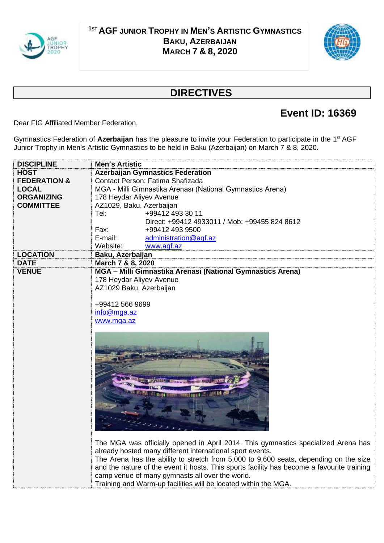

## **<sup>1</sup>ST AGF JUNIOR TROPHY IN MEN'S ARTISTIC GYMNASTICS BAKU, AZERBAIJAN MARCH 7 & 8, 2020**



## **DIRECTIVES**

## **Event ID: 16369**

Dear FIG Affiliated Member Federation,

Gymnastics Federation of Azerbaijan has the pleasure to invite your Federation to participate in the 1<sup>st</sup> AGF Junior Trophy in Men's Artistic Gymnastics to be held in Baku (Azerbaijan) on March 7 & 8, 2020.

| <b>DISCIPLINE</b>       | <b>Men's Artistic</b>                                                                                                                                                                                                                    |  |
|-------------------------|------------------------------------------------------------------------------------------------------------------------------------------------------------------------------------------------------------------------------------------|--|
| <b>HOST</b>             | <b>Azerbaijan Gymnastics Federation</b>                                                                                                                                                                                                  |  |
| <b>FEDERATION &amp;</b> | Contact Person: Fatima Shafizada                                                                                                                                                                                                         |  |
| <b>LOCAL</b>            | MGA - Milli Gimnastika Arenası (National Gymnastics Arena)                                                                                                                                                                               |  |
| <b>ORGANIZING</b>       | 178 Heydar Aliyev Avenue                                                                                                                                                                                                                 |  |
| <b>COMMITTEE</b>        | AZ1029, Baku, Azerbaijan                                                                                                                                                                                                                 |  |
|                         | Tel:<br>+99412 493 30 11                                                                                                                                                                                                                 |  |
|                         | Direct: +99412 4933011 / Mob: +99455 824 8612                                                                                                                                                                                            |  |
|                         | +99412 493 9500<br>Fax:                                                                                                                                                                                                                  |  |
|                         | E-mail:<br>administration@agf.az                                                                                                                                                                                                         |  |
|                         | www.agf.az<br>Website:                                                                                                                                                                                                                   |  |
| <b>LOCATION</b>         | Baku, Azerbaijan                                                                                                                                                                                                                         |  |
| <b>DATE</b>             | March 7 & 8, 2020                                                                                                                                                                                                                        |  |
| <b>VENUE</b>            | MGA - Milli Gimnastika Arenasi (National Gymnastics Arena)                                                                                                                                                                               |  |
|                         |                                                                                                                                                                                                                                          |  |
|                         | 178 Heydar Aliyev Avenue                                                                                                                                                                                                                 |  |
|                         | AZ1029 Baku, Azerbaijan                                                                                                                                                                                                                  |  |
|                         |                                                                                                                                                                                                                                          |  |
|                         | +99412 566 9699                                                                                                                                                                                                                          |  |
|                         | info@mga.az                                                                                                                                                                                                                              |  |
|                         | www.mga.az                                                                                                                                                                                                                               |  |
|                         | The MGA was officially opened in April 2014. This gymnastics specialized Arena has<br>already hosted many different international sport events.<br>The Arena has the ability to stretch from 5,000 to 9,600 seats, depending on the size |  |
|                         | and the nature of the event it hosts. This sports facility has become a favourite training                                                                                                                                               |  |
|                         | camp venue of many gymnasts all over the world.                                                                                                                                                                                          |  |
|                         | Training and Warm-up facilities will be located within the MGA.                                                                                                                                                                          |  |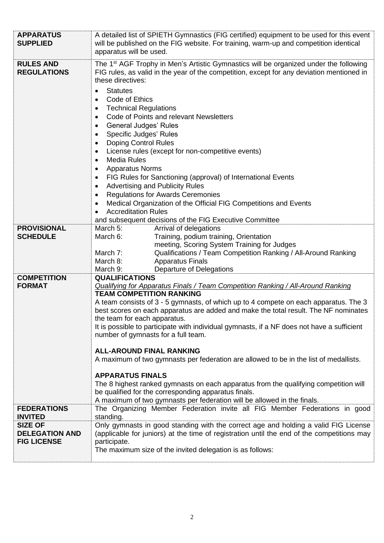| <b>APPARATUS</b><br><b>SUPPLIED</b>                           | A detailed list of SPIETH Gymnastics (FIG certified) equipment to be used for this event<br>will be published on the FIG website. For training, warm-up and competition identical<br>apparatus will be used.                                                                                                                                                                                                                                                                                                                                                                                                                                                                                                                                                                                                                                                                                                                                                                                       |
|---------------------------------------------------------------|----------------------------------------------------------------------------------------------------------------------------------------------------------------------------------------------------------------------------------------------------------------------------------------------------------------------------------------------------------------------------------------------------------------------------------------------------------------------------------------------------------------------------------------------------------------------------------------------------------------------------------------------------------------------------------------------------------------------------------------------------------------------------------------------------------------------------------------------------------------------------------------------------------------------------------------------------------------------------------------------------|
| <b>RULES AND</b><br><b>REGULATIONS</b>                        | The 1 <sup>st</sup> AGF Trophy in Men's Artistic Gymnastics will be organized under the following<br>FIG rules, as valid in the year of the competition, except for any deviation mentioned in<br>these directives:<br><b>Statutes</b><br>$\bullet$<br>Code of Ethics<br>$\bullet$<br><b>Technical Regulations</b><br>$\bullet$<br>Code of Points and relevant Newsletters<br>٠<br><b>General Judges' Rules</b><br>$\bullet$<br>Specific Judges' Rules<br>٠<br><b>Doping Control Rules</b><br>License rules (except for non-competitive events)<br>٠<br><b>Media Rules</b><br>$\bullet$<br><b>Apparatus Norms</b><br>٠<br>FIG Rules for Sanctioning (approval) of International Events<br>٠<br><b>Advertising and Publicity Rules</b><br>$\bullet$<br><b>Regulations for Awards Ceremonies</b><br>$\bullet$<br>Medical Organization of the Official FIG Competitions and Events<br>$\bullet$<br><b>Accreditation Rules</b><br>$\bullet$<br>and subsequent decisions of the FIG Executive Committee |
| <b>PROVISIONAL</b><br><b>SCHEDULE</b>                         | March 5:<br>Arrival of delegations<br>Training, podium training, Orientation<br>March 6:<br>meeting, Scoring System Training for Judges<br>Qualifications / Team Competition Ranking / All-Around Ranking<br>March 7:<br>March 8:<br><b>Apparatus Finals</b><br>March 9:<br><b>Departure of Delegations</b>                                                                                                                                                                                                                                                                                                                                                                                                                                                                                                                                                                                                                                                                                        |
| <b>COMPETITION</b><br><b>FORMAT</b>                           | <b>QUALIFICATIONS</b><br><b>Qualifying for Apparatus Finals / Team Competition Ranking / All-Around Ranking</b><br><b>TEAM COMPETITION RANKING</b><br>A team consists of 3 - 5 gymnasts, of which up to 4 compete on each apparatus. The 3<br>best scores on each apparatus are added and make the total result. The NF nominates<br>the team for each apparatus.<br>It is possible to participate with individual gymnasts, if a NF does not have a sufficient<br>number of gymnasts for a full team.<br><b>ALL-AROUND FINAL RANKING</b><br>A maximum of two gymnasts per federation are allowed to be in the list of medallists.<br><b>APPARATUS FINALS</b><br>The 8 highest ranked gymnasts on each apparatus from the qualifying competition will<br>be qualified for the corresponding apparatus finals.<br>A maximum of two gymnasts per federation will be allowed in the finals.                                                                                                           |
| <b>FEDERATIONS</b><br><b>INVITED</b>                          | The Organizing Member Federation invite all FIG Member Federations in good<br>standing.                                                                                                                                                                                                                                                                                                                                                                                                                                                                                                                                                                                                                                                                                                                                                                                                                                                                                                            |
| <b>SIZE OF</b><br><b>DELEGATION AND</b><br><b>FIG LICENSE</b> | Only gymnasts in good standing with the correct age and holding a valid FIG License<br>(applicable for juniors) at the time of registration until the end of the competitions may<br>participate.<br>The maximum size of the invited delegation is as follows:                                                                                                                                                                                                                                                                                                                                                                                                                                                                                                                                                                                                                                                                                                                                     |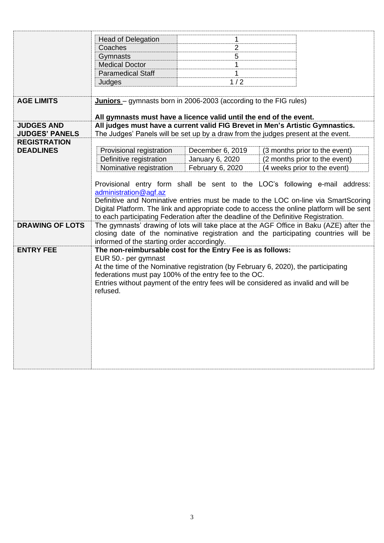|                        | <b>Head of Delegation</b>                                                                                                                                                                                                                       | 1                |                                                                                            |
|------------------------|-------------------------------------------------------------------------------------------------------------------------------------------------------------------------------------------------------------------------------------------------|------------------|--------------------------------------------------------------------------------------------|
|                        | Coaches                                                                                                                                                                                                                                         | $\overline{2}$   |                                                                                            |
|                        | Gymnasts                                                                                                                                                                                                                                        | 5                |                                                                                            |
|                        | <b>Medical Doctor</b>                                                                                                                                                                                                                           | 1                |                                                                                            |
|                        | <b>Paramedical Staff</b>                                                                                                                                                                                                                        | 1                |                                                                                            |
|                        | Judges                                                                                                                                                                                                                                          | 1/2              |                                                                                            |
|                        |                                                                                                                                                                                                                                                 |                  |                                                                                            |
| <b>AGE LIMITS</b>      | Juniors - gymnasts born in 2006-2003 (according to the FIG rules)                                                                                                                                                                               |                  |                                                                                            |
|                        |                                                                                                                                                                                                                                                 |                  |                                                                                            |
|                        | All gymnasts must have a licence valid until the end of the event.                                                                                                                                                                              |                  |                                                                                            |
| <b>JUDGES AND</b>      |                                                                                                                                                                                                                                                 |                  | All judges must have a current valid FIG Brevet in Men's Artistic Gymnastics.              |
| <b>JUDGES' PANELS</b>  |                                                                                                                                                                                                                                                 |                  | The Judges' Panels will be set up by a draw from the judges present at the event.          |
| <b>REGISTRATION</b>    |                                                                                                                                                                                                                                                 |                  |                                                                                            |
| <b>DEADLINES</b>       | Provisional registration                                                                                                                                                                                                                        | December 6, 2019 | (3 months prior to the event)                                                              |
|                        | Definitive registration                                                                                                                                                                                                                         | January 6, 2020  | (2 months prior to the event)                                                              |
|                        | Nominative registration                                                                                                                                                                                                                         | February 6, 2020 | (4 weeks prior to the event)                                                               |
|                        |                                                                                                                                                                                                                                                 |                  |                                                                                            |
|                        |                                                                                                                                                                                                                                                 |                  | Provisional entry form shall be sent to the LOC's following e-mail address:                |
|                        | administration@agf.az                                                                                                                                                                                                                           |                  |                                                                                            |
|                        |                                                                                                                                                                                                                                                 |                  | Definitive and Nominative entries must be made to the LOC on-line via SmartScoring         |
|                        |                                                                                                                                                                                                                                                 |                  | Digital Platform. The link and appropriate code to access the online platform will be sent |
|                        |                                                                                                                                                                                                                                                 |                  | to each participating Federation after the deadline of the Definitive Registration.        |
| <b>DRAWING OF LOTS</b> | The gymnasts' drawing of lots will take place at the AGF Office in Baku (AZE) after the                                                                                                                                                         |                  |                                                                                            |
|                        | closing date of the nominative registration and the participating countries will be<br>informed of the starting order accordingly.                                                                                                              |                  |                                                                                            |
| <b>ENTRY FEE</b>       | The non-reimbursable cost for the Entry Fee is as follows:                                                                                                                                                                                      |                  |                                                                                            |
|                        | EUR 50 .- per gymnast                                                                                                                                                                                                                           |                  |                                                                                            |
|                        |                                                                                                                                                                                                                                                 |                  |                                                                                            |
|                        | At the time of the Nominative registration (by February 6, 2020), the participating<br>federations must pay 100% of the entry fee to the OC.<br>Entries without payment of the entry fees will be considered as invalid and will be<br>refused. |                  |                                                                                            |
|                        |                                                                                                                                                                                                                                                 |                  |                                                                                            |
|                        |                                                                                                                                                                                                                                                 |                  |                                                                                            |
|                        |                                                                                                                                                                                                                                                 |                  |                                                                                            |
|                        |                                                                                                                                                                                                                                                 |                  |                                                                                            |
|                        |                                                                                                                                                                                                                                                 |                  |                                                                                            |
|                        |                                                                                                                                                                                                                                                 |                  |                                                                                            |
|                        |                                                                                                                                                                                                                                                 |                  |                                                                                            |
|                        |                                                                                                                                                                                                                                                 |                  |                                                                                            |
|                        |                                                                                                                                                                                                                                                 |                  |                                                                                            |
|                        |                                                                                                                                                                                                                                                 |                  |                                                                                            |
|                        |                                                                                                                                                                                                                                                 |                  |                                                                                            |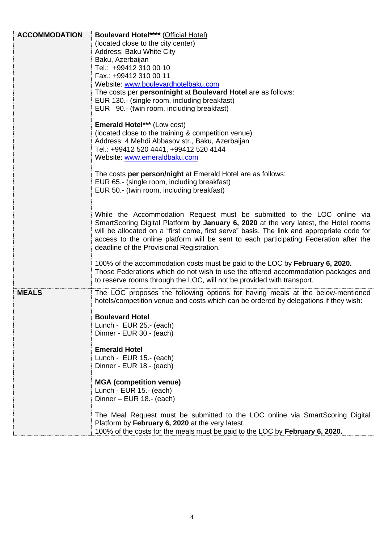| <b>ACCOMMODATION</b> | <b>Boulevard Hotel**** (Official Hotel)</b>                                               |
|----------------------|-------------------------------------------------------------------------------------------|
|                      | (located close to the city center)                                                        |
|                      | Address: Baku White City                                                                  |
|                      | Baku, Azerbaijan                                                                          |
|                      | Tel.: +99412 310 00 10                                                                    |
|                      | Fax.: +99412 310 00 11                                                                    |
|                      | Website: www.boulevardhotelbaku.com                                                       |
|                      | The costs per person/night at Boulevard Hotel are as follows:                             |
|                      | EUR 130.- (single room, including breakfast)                                              |
|                      | EUR 90.- (twin room, including breakfast)                                                 |
|                      |                                                                                           |
|                      | <b>Emerald Hotel*** (Low cost)</b>                                                        |
|                      | (located close to the training & competition venue)                                       |
|                      | Address: 4 Mehdi Abbasov str., Baku, Azerbaijan                                           |
|                      | Tel.: +99412 520 4441, +99412 520 4144                                                    |
|                      | Website: www.emeraldbaku.com                                                              |
|                      |                                                                                           |
|                      | The costs per person/night at Emerald Hotel are as follows:                               |
|                      | EUR 65.- (single room, including breakfast)                                               |
|                      | EUR 50.- (twin room, including breakfast)                                                 |
|                      |                                                                                           |
|                      |                                                                                           |
|                      | While the Accommodation Request must be submitted to the LOC online via                   |
|                      | SmartScoring Digital Platform by January 6, 2020 at the very latest, the Hotel rooms      |
|                      | will be allocated on a "first come, first serve" basis. The link and appropriate code for |
|                      | access to the online platform will be sent to each participating Federation after the     |
|                      | deadline of the Provisional Registration.                                                 |
|                      |                                                                                           |
|                      | 100% of the accommodation costs must be paid to the LOC by February 6, 2020.              |
|                      | Those Federations which do not wish to use the offered accommodation packages and         |
|                      | to reserve rooms through the LOC, will not be provided with transport.                    |
| <b>MEALS</b>         |                                                                                           |
|                      | The LOC proposes the following options for having meals at the below-mentioned            |
|                      | hotels/competition venue and costs which can be ordered by delegations if they wish:      |
|                      |                                                                                           |
|                      | <b>Boulevard Hotel</b><br>Lunch - EUR 25.- (each)                                         |
|                      |                                                                                           |
|                      | Dinner - EUR 30.- (each)                                                                  |
|                      | <b>Emerald Hotel</b>                                                                      |
|                      | Lunch - EUR 15.- (each)                                                                   |
|                      | Dinner - EUR 18.- (each)                                                                  |
|                      |                                                                                           |
|                      | <b>MGA</b> (competition venue)                                                            |
|                      | Lunch - EUR 15.- (each)                                                                   |
|                      | Dinner - EUR 18 .- (each)                                                                 |
|                      |                                                                                           |
|                      | The Meal Request must be submitted to the LOC online via SmartScoring Digital             |
|                      | Platform by February 6, 2020 at the very latest.                                          |
|                      | 100% of the costs for the meals must be paid to the LOC by February 6, 2020.              |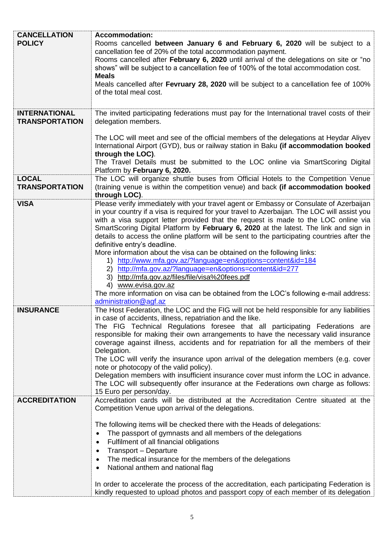| <b>CANCELLATION</b><br><b>POLICY</b>          | <b>Accommodation:</b><br>Rooms cancelled between January 6 and February 6, 2020 will be subject to a<br>cancellation fee of 20% of the total accommodation payment.<br>Rooms cancelled after February 6, 2020 until arrival of the delegations on site or "no<br>shows" will be subject to a cancellation fee of 100% of the total accommodation cost.<br><b>Meals</b><br>Meals cancelled after Fevruary 28, 2020 will be subject to a cancellation fee of 100%<br>of the total meal cost.                                                                                                                                                                                                                                                                                                                                                                                                  |
|-----------------------------------------------|---------------------------------------------------------------------------------------------------------------------------------------------------------------------------------------------------------------------------------------------------------------------------------------------------------------------------------------------------------------------------------------------------------------------------------------------------------------------------------------------------------------------------------------------------------------------------------------------------------------------------------------------------------------------------------------------------------------------------------------------------------------------------------------------------------------------------------------------------------------------------------------------|
|                                               |                                                                                                                                                                                                                                                                                                                                                                                                                                                                                                                                                                                                                                                                                                                                                                                                                                                                                             |
| <b>INTERNATIONAL</b><br><b>TRANSPORTATION</b> | The invited participating federations must pay for the International travel costs of their<br>delegation members.<br>The LOC will meet and see of the official members of the delegations at Heydar Aliyev<br>International Airport (GYD), bus or railway station in Baku (if accommodation booked<br>through the LOC).                                                                                                                                                                                                                                                                                                                                                                                                                                                                                                                                                                     |
|                                               | The Travel Details must be submitted to the LOC online via SmartScoring Digital<br>Platform by February 6, 2020.                                                                                                                                                                                                                                                                                                                                                                                                                                                                                                                                                                                                                                                                                                                                                                            |
| <b>LOCAL</b><br><b>TRANSPORTATION</b>         | The LOC will organize shuttle buses from Official Hotels to the Competition Venue<br>(training venue is within the competition venue) and back (if accommodation booked<br>through LOC).                                                                                                                                                                                                                                                                                                                                                                                                                                                                                                                                                                                                                                                                                                    |
| <b>VISA</b>                                   | Please verify immediately with your travel agent or Embassy or Consulate of Azerbaijan<br>in your country if a visa is required for your travel to Azerbaijan. The LOC will assist you<br>with a visa support letter provided that the request is made to the LOC online via<br>SmartScoring Digital Platform by February 6, 2020 at the latest. The link and sign in<br>details to access the online platform will be sent to the participating countries after the<br>definitive entry's deadline.<br>More information about the visa can be obtained on the following links:<br>http://www.mfa.gov.az/?language=en&options=content&id=184<br>1)<br>http://mfa.gov.az/?language=en&options=content&id=277<br>(2)<br>http://mfa.gov.az/files/file/visa%20fees.pdf<br>3)<br>www.evisa.gov.az<br>4)<br>The more information on visa can be obtained from the LOC's following e-mail address: |
|                                               | administration@agf.az                                                                                                                                                                                                                                                                                                                                                                                                                                                                                                                                                                                                                                                                                                                                                                                                                                                                       |
| <b>INSURANCE</b>                              | The Host Federation, the LOC and the FIG will not be held responsible for any liabilities<br>in case of accidents, illness, repatriation and the like.<br>The FIG Technical Regulations foresee that all participating Federations are<br>responsible for making their own arrangements to have the necessary valid insurance<br>coverage against illness, accidents and for repatriation for all the members of their<br>Delegation.<br>The LOC will verify the insurance upon arrival of the delegation members (e.g. cover<br>note or photocopy of the valid policy).<br>Delegation members with insufficient insurance cover must inform the LOC in advance.<br>The LOC will subsequently offer insurance at the Federations own charge as follows:<br>15 Euro per person/day.                                                                                                          |
| <b>ACCREDITATION</b>                          | Accreditation cards will be distributed at the Accreditation Centre situated at the                                                                                                                                                                                                                                                                                                                                                                                                                                                                                                                                                                                                                                                                                                                                                                                                         |
|                                               | Competition Venue upon arrival of the delegations.<br>The following items will be checked there with the Heads of delegations:<br>The passport of gymnasts and all members of the delegations<br>$\bullet$<br>Fulfilment of all financial obligations<br>$\bullet$<br>Transport - Departure<br>$\bullet$<br>The medical insurance for the members of the delegations<br>٠<br>National anthem and national flag<br>$\bullet$<br>In order to accelerate the process of the accreditation, each participating Federation is<br>kindly requested to upload photos and passport copy of each member of its delegation                                                                                                                                                                                                                                                                            |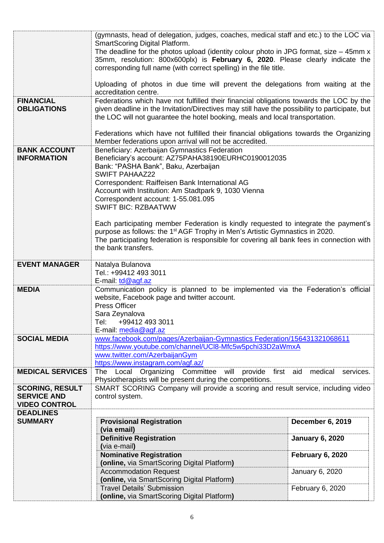|                                            | (gymnasts, head of delegation, judges, coaches, medical staff and etc.) to the LOC via<br>SmartScoring Digital Platform. |                         |  |
|--------------------------------------------|--------------------------------------------------------------------------------------------------------------------------|-------------------------|--|
|                                            | The deadline for the photos upload (identity colour photo in JPG format, size $-$ 45mm x                                 |                         |  |
|                                            | 35mm, resolution: 800x600plx) is February 6, 2020. Please clearly indicate the                                           |                         |  |
|                                            | corresponding full name (with correct spelling) in the file title.                                                       |                         |  |
|                                            |                                                                                                                          |                         |  |
|                                            | Uploading of photos in due time will prevent the delegations from waiting at the                                         |                         |  |
|                                            | accreditation centre.                                                                                                    |                         |  |
| <b>FINANCIAL</b>                           | Federations which have not fulfilled their financial obligations towards the LOC by the                                  |                         |  |
| <b>OBLIGATIONS</b>                         | given deadline in the Invitation/Directives may still have the possibility to participate, but                           |                         |  |
|                                            | the LOC will not guarantee the hotel booking, meals and local transportation.                                            |                         |  |
|                                            | Federations which have not fulfilled their financial obligations towards the Organizing                                  |                         |  |
|                                            | Member federations upon arrival will not be accredited.                                                                  |                         |  |
| <b>BANK ACCOUNT</b>                        | Beneficiary: Azerbaijan Gymnastics Federation                                                                            |                         |  |
| <b>INFORMATION</b>                         | Beneficiary's account: AZ75PAHA38190EURHC0190012035                                                                      |                         |  |
|                                            | Bank: "PASHA Bank", Baku, Azerbaijan                                                                                     |                         |  |
|                                            | <b>SWIFT PAHAAZ22</b>                                                                                                    |                         |  |
|                                            | Correspondent: Raiffeisen Bank International AG                                                                          |                         |  |
|                                            | Account with Institution: Am Stadtpark 9, 1030 Vienna                                                                    |                         |  |
|                                            | Correspondent account: 1-55.081.095<br><b>SWIFT BIC: RZBAATWW</b>                                                        |                         |  |
|                                            |                                                                                                                          |                         |  |
|                                            | Each participating member Federation is kindly requested to integrate the payment's                                      |                         |  |
|                                            | purpose as follows: the 1 <sup>st</sup> AGF Trophy in Men's Artistic Gymnastics in 2020.                                 |                         |  |
|                                            | The participating federation is responsible for covering all bank fees in connection with                                |                         |  |
|                                            | the bank transfers.                                                                                                      |                         |  |
|                                            |                                                                                                                          |                         |  |
| <b>EVENT MANAGER</b>                       | Natalya Bulanova<br>Tel.: +99412 493 3011                                                                                |                         |  |
|                                            | E-mail: td@agf.az                                                                                                        |                         |  |
| <b>MEDIA</b>                               | Communication policy is planned to be implemented via the Federation's official                                          |                         |  |
|                                            | website, Facebook page and twitter account.                                                                              |                         |  |
|                                            | <b>Press Officer</b>                                                                                                     |                         |  |
|                                            | Sara Zeynalova                                                                                                           |                         |  |
|                                            | Tel:<br>+99412 493 3011                                                                                                  |                         |  |
| <b>SOCIAL MEDIA</b>                        | E-mail: media@agf.az<br>www.facebook.com/pages/Azerbaijan-Gymnastics Federation/156431321068611                          |                         |  |
|                                            | https://www.youtube.com/channel/UCI8-Mfc5w5pchi33D2aWmxA                                                                 |                         |  |
|                                            | www.twitter.com/AzerbaijanGym                                                                                            |                         |  |
|                                            | https://www.instagram.com/agf.az/                                                                                        |                         |  |
| <b>MEDICAL SERVICES</b>                    | The Local Organizing Committee will provide first aid                                                                    | medical<br>services.    |  |
|                                            | Physiotherapists will be present during the competitions.                                                                |                         |  |
| <b>SCORING, RESULT</b>                     | SMART SCORING Company will provide a scoring and result service, including video                                         |                         |  |
| <b>SERVICE AND</b><br><b>VIDEO CONTROL</b> | control system.                                                                                                          |                         |  |
| <b>DEADLINES</b>                           |                                                                                                                          |                         |  |
| <b>SUMMARY</b>                             | <b>Provisional Registration</b>                                                                                          | <b>December 6, 2019</b> |  |
|                                            | (via email)                                                                                                              |                         |  |
|                                            | <b>Definitive Registration</b>                                                                                           | <b>January 6, 2020</b>  |  |
|                                            | (via e-mail)                                                                                                             |                         |  |
|                                            | <b>Nominative Registration</b>                                                                                           | <b>February 6, 2020</b> |  |
|                                            | (online, via SmartScoring Digital Platform)                                                                              |                         |  |
|                                            | <b>Accommodation Request</b><br>(online, via SmartScoring Digital Platform)                                              | January 6, 2020         |  |
|                                            |                                                                                                                          |                         |  |
|                                            | <b>Travel Details' Submission</b>                                                                                        | February 6, 2020        |  |